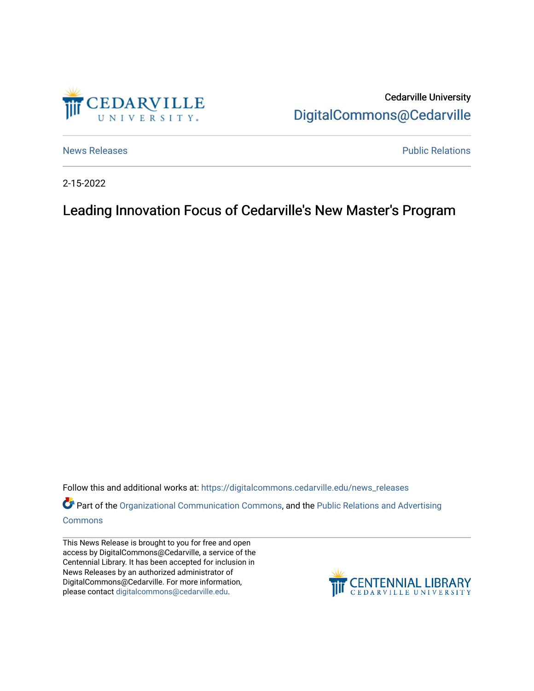

Cedarville University [DigitalCommons@Cedarville](https://digitalcommons.cedarville.edu/) 

[News Releases](https://digitalcommons.cedarville.edu/news_releases) **Public Relations Public Relations** 

2-15-2022

Leading Innovation Focus of Cedarville's New Master's Program

Follow this and additional works at: [https://digitalcommons.cedarville.edu/news\\_releases](https://digitalcommons.cedarville.edu/news_releases?utm_source=digitalcommons.cedarville.edu%2Fnews_releases%2F1499&utm_medium=PDF&utm_campaign=PDFCoverPages) 

Part of the [Organizational Communication Commons](http://network.bepress.com/hgg/discipline/335?utm_source=digitalcommons.cedarville.edu%2Fnews_releases%2F1499&utm_medium=PDF&utm_campaign=PDFCoverPages), and the Public Relations and Advertising [Commons](http://network.bepress.com/hgg/discipline/336?utm_source=digitalcommons.cedarville.edu%2Fnews_releases%2F1499&utm_medium=PDF&utm_campaign=PDFCoverPages)

This News Release is brought to you for free and open access by DigitalCommons@Cedarville, a service of the Centennial Library. It has been accepted for inclusion in News Releases by an authorized administrator of DigitalCommons@Cedarville. For more information, please contact [digitalcommons@cedarville.edu](mailto:digitalcommons@cedarville.edu).

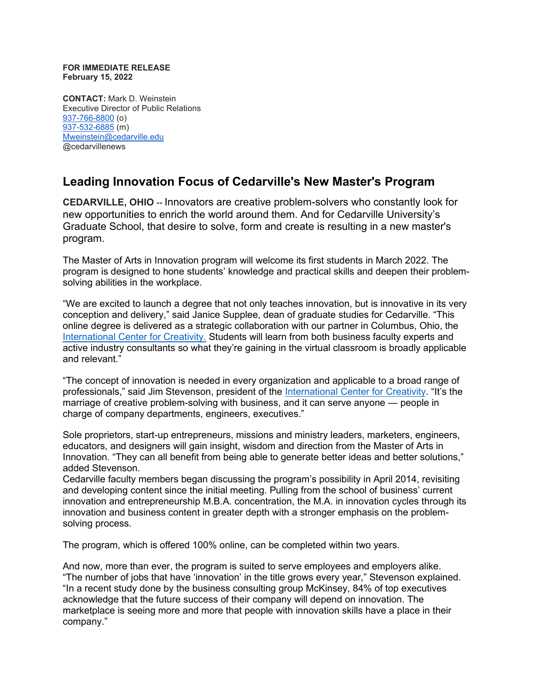## **FOR IMMEDIATE RELEASE February 15, 2022**

**CONTACT:** Mark D. Weinstein Executive Director of Public Relations [937-766-8800](tel:937-766-8800) (o) [937-532-6885](tel:937-532-6885) (m) [Mweinstein@cedarville.edu](mailto:Mweinstein@cedarville.edu) @cedarvillenews

## **Leading Innovation Focus of Cedarville's New Master's Program**

**CEDARVILLE, OHIO --** Innovators are creative problem-solvers who constantly look for new opportunities to enrich the world around them. And for Cedarville University's Graduate School, that desire to solve, form and create is resulting in a new master's program.  

The Master of Arts in Innovation program will welcome its first students in March 2022. The program is designed to hone students' knowledge and practical skills and deepen their problemsolving abilities in the workplace.  

"We are excited to launch a degree that not only teaches innovation, but is innovative in its very conception and delivery," said Janice Supplee, dean of graduate studies for Cedarville. "This online degree is delivered as a strategic collaboration with our partner in Columbus, Ohio, the [International Center for Creativity.](https://iccreativity.com/our-team) Students will learn from both business faculty experts and active industry consultants so what they're gaining in the virtual classroom is broadly applicable and relevant." 

"The concept of innovation is needed in every organization and applicable to a broad range of professionals," said Jim Stevenson, president of the [International Center for Creativity.](https://iccreativity.com/our-team) "It's the marriage of creative problem-solving with business, and it can serve anyone — people in charge of company departments, engineers, executives."  

Sole proprietors, start-up entrepreneurs, missions and ministry leaders, marketers, engineers, educators, and designers will gain insight, wisdom and direction from the Master of Arts in Innovation. "They can all benefit from being able to generate better ideas and better solutions," added Stevenson.

Cedarville faculty members began discussing the program's possibility in April 2014, revisiting and developing content since the initial meeting. Pulling from the school of business' current innovation and entrepreneurship M.B.A. concentration, the M.A. in innovation cycles through its innovation and business content in greater depth with a stronger emphasis on the problemsolving process. 

The program, which is offered 100% online, can be completed within two years. 

And now, more than ever, the program is suited to serve employees and employers alike.   "The number of jobs that have 'innovation' in the title grows every year," Stevenson explained. "In a recent study done by the business consulting group McKinsey, 84% of top executives acknowledge that the future success of their company will depend on innovation. The marketplace is seeing more and more that people with innovation skills have a place in their company."